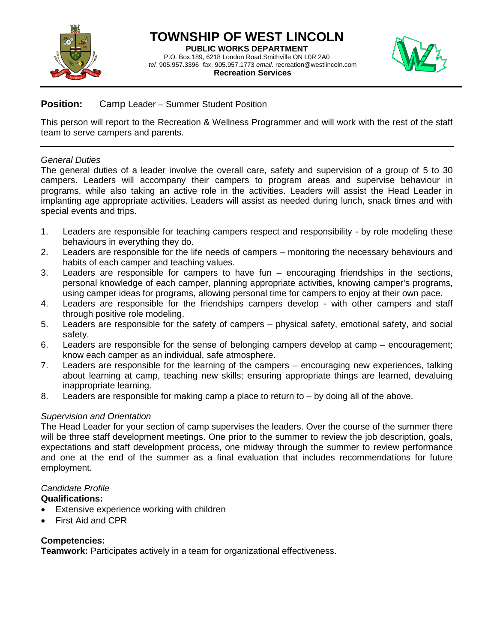



## **Position:** Camp Leader – Summer Student Position

This person will report to the Recreation & Wellness Programmer and will work with the rest of the staff team to serve campers and parents.

#### *General Duties*

The general duties of a leader involve the overall care, safety and supervision of a group of 5 to 30 campers. Leaders will accompany their campers to program areas and supervise behaviour in programs, while also taking an active role in the activities. Leaders will assist the Head Leader in implanting age appropriate activities. Leaders will assist as needed during lunch, snack times and with special events and trips.

- 1. Leaders are responsible for teaching campers respect and responsibility by role modeling these behaviours in everything they do.
- 2. Leaders are responsible for the life needs of campers monitoring the necessary behaviours and habits of each camper and teaching values.
- 3. Leaders are responsible for campers to have fun encouraging friendships in the sections, personal knowledge of each camper, planning appropriate activities, knowing camper's programs, using camper ideas for programs, allowing personal time for campers to enjoy at their own pace.
- 4. Leaders are responsible for the friendships campers develop with other campers and staff through positive role modeling.
- 5. Leaders are responsible for the safety of campers physical safety, emotional safety, and social safety.
- 6. Leaders are responsible for the sense of belonging campers develop at camp encouragement; know each camper as an individual, safe atmosphere.
- 7. Leaders are responsible for the learning of the campers encouraging new experiences, talking about learning at camp, teaching new skills; ensuring appropriate things are learned, devaluing inappropriate learning.
- 8. Leaders are responsible for making camp a place to return to by doing all of the above.

### *Supervision and Orientation*

The Head Leader for your section of camp supervises the leaders. Over the course of the summer there will be three staff development meetings. One prior to the summer to review the job description, goals, expectations and staff development process, one midway through the summer to review performance and one at the end of the summer as a final evaluation that includes recommendations for future employment.

# *Candidate Profile*

### **Qualifications:**

- Extensive experience working with children
- First Aid and CPR

### **Competencies:**

**Teamwork:** Participates actively in a team for organizational effectiveness.